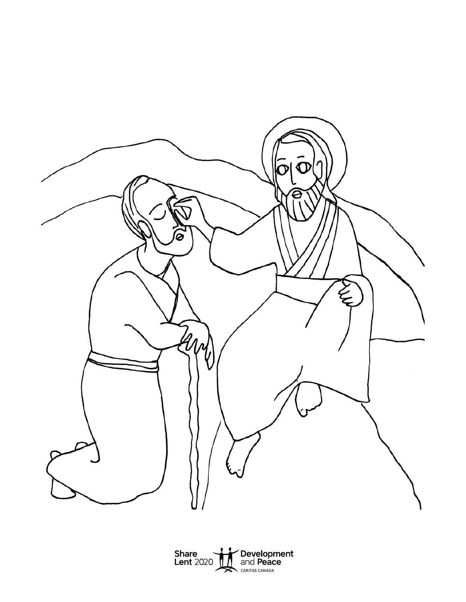